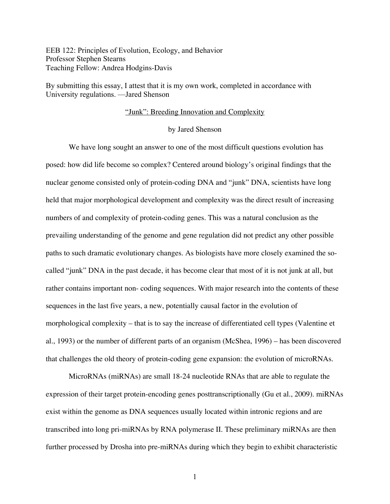EEB 122: Principles of Evolution, Ecology, and Behavior Professor Stephen Stearns Teaching Fellow: Andrea Hodgins-Davis

By submitting this essay, I attest that it is my own work, completed in accordance with University regulations. —Jared Shenson

# "Junk": Breeding Innovation and Complexity

# by Jared Shenson

We have long sought an answer to one of the most difficult questions evolution has posed: how did life become so complex? Centered around biology's original findings that the nuclear genome consisted only of protein-coding DNA and "junk" DNA, scientists have long held that major morphological development and complexity was the direct result of increasing numbers of and complexity of protein-coding genes. This was a natural conclusion as the prevailing understanding of the genome and gene regulation did not predict any other possible paths to such dramatic evolutionary changes. As biologists have more closely examined the socalled "junk" DNA in the past decade, it has become clear that most of it is not junk at all, but rather contains important non- coding sequences. With major research into the contents of these sequences in the last five years, a new, potentially causal factor in the evolution of morphological complexity – that is to say the increase of differentiated cell types (Valentine et al., 1993) or the number of different parts of an organism (McShea, 1996) – has been discovered that challenges the old theory of protein-coding gene expansion: the evolution of microRNAs.

MicroRNAs (miRNAs) are small 18-24 nucleotide RNAs that are able to regulate the expression of their target protein-encoding genes posttranscriptionally (Gu et al., 2009). miRNAs exist within the genome as DNA sequences usually located within intronic regions and are transcribed into long pri-miRNAs by RNA polymerase II. These preliminary miRNAs are then further processed by Drosha into pre-miRNAs during which they begin to exhibit characteristic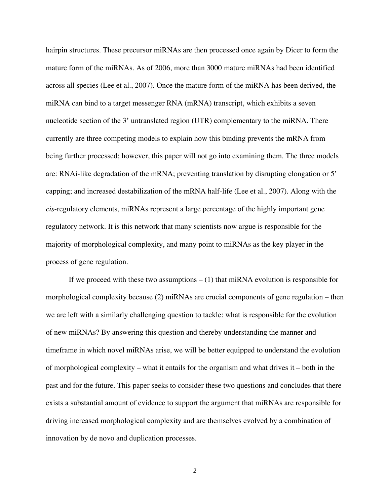hairpin structures. These precursor miRNAs are then processed once again by Dicer to form the mature form of the miRNAs. As of 2006, more than 3000 mature miRNAs had been identified across all species (Lee et al., 2007). Once the mature form of the miRNA has been derived, the miRNA can bind to a target messenger RNA (mRNA) transcript, which exhibits a seven nucleotide section of the 3' untranslated region (UTR) complementary to the miRNA. There currently are three competing models to explain how this binding prevents the mRNA from being further processed; however, this paper will not go into examining them. The three models are: RNAi-like degradation of the mRNA; preventing translation by disrupting elongation or 5' capping; and increased destabilization of the mRNA half-life (Lee et al., 2007). Along with the *cis*-regulatory elements, miRNAs represent a large percentage of the highly important gene regulatory network. It is this network that many scientists now argue is responsible for the majority of morphological complexity, and many point to miRNAs as the key player in the process of gene regulation.

If we proceed with these two assumptions  $- (1)$  that miRNA evolution is responsible for morphological complexity because (2) miRNAs are crucial components of gene regulation – then we are left with a similarly challenging question to tackle: what is responsible for the evolution of new miRNAs? By answering this question and thereby understanding the manner and timeframe in which novel miRNAs arise, we will be better equipped to understand the evolution of morphological complexity – what it entails for the organism and what drives it – both in the past and for the future. This paper seeks to consider these two questions and concludes that there exists a substantial amount of evidence to support the argument that miRNAs are responsible for driving increased morphological complexity and are themselves evolved by a combination of innovation by de novo and duplication processes.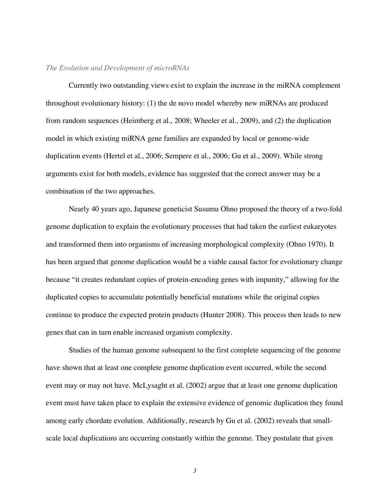### *The Evolution and Development of microRNAs*

Currently two outstanding views exist to explain the increase in the miRNA complement throughout evolutionary history: (1) the de novo model whereby new miRNAs are produced from random sequences (Heimberg et al., 2008; Wheeler et al., 2009), and (2) the duplication model in which existing miRNA gene families are expanded by local or genome-wide duplication events (Hertel et al., 2006; Sempere et al., 2006; Gu et al., 2009). While strong arguments exist for both models, evidence has suggested that the correct answer may be a combination of the two approaches.

Nearly 40 years ago, Japanese geneticist Susumu Ohno proposed the theory of a two-fold genome duplication to explain the evolutionary processes that had taken the earliest eukaryotes and transformed them into organisms of increasing morphological complexity (Ohno 1970). It has been argued that genome duplication would be a viable causal factor for evolutionary change because "it creates redundant copies of protein-encoding genes with impunity," allowing for the duplicated copies to accumulate potentially beneficial mutations while the original copies continue to produce the expected protein products (Hunter 2008). This process then leads to new genes that can in turn enable increased organism complexity.

Studies of the human genome subsequent to the first complete sequencing of the genome have shown that at least one complete genome duplication event occurred, while the second event may or may not have. McLysaght et al. (2002) argue that at least one genome duplication event must have taken place to explain the extensive evidence of genomic duplication they found among early chordate evolution. Additionally, research by Gu et al. (2002) reveals that smallscale local duplications are occurring constantly within the genome. They postulate that given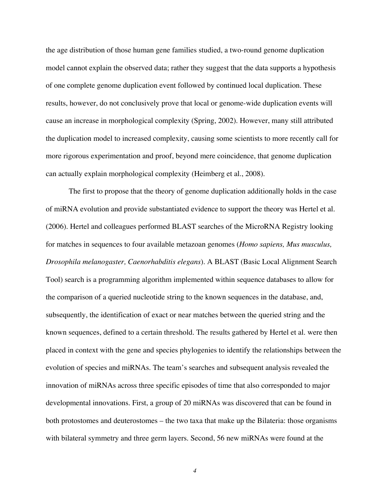the age distribution of those human gene families studied, a two-round genome duplication model cannot explain the observed data; rather they suggest that the data supports a hypothesis of one complete genome duplication event followed by continued local duplication. These results, however, do not conclusively prove that local or genome-wide duplication events will cause an increase in morphological complexity (Spring, 2002). However, many still attributed the duplication model to increased complexity, causing some scientists to more recently call for more rigorous experimentation and proof, beyond mere coincidence, that genome duplication can actually explain morphological complexity (Heimberg et al., 2008).

The first to propose that the theory of genome duplication additionally holds in the case of miRNA evolution and provide substantiated evidence to support the theory was Hertel et al. (2006). Hertel and colleagues performed BLAST searches of the MicroRNA Registry looking for matches in sequences to four available metazoan genomes (*Homo sapiens, Mus musculus, Drosophila melanogaster, Caenorhabditis elegans*). A BLAST (Basic Local Alignment Search Tool) search is a programming algorithm implemented within sequence databases to allow for the comparison of a queried nucleotide string to the known sequences in the database, and, subsequently, the identification of exact or near matches between the queried string and the known sequences, defined to a certain threshold. The results gathered by Hertel et al. were then placed in context with the gene and species phylogenies to identify the relationships between the evolution of species and miRNAs. The team's searches and subsequent analysis revealed the innovation of miRNAs across three specific episodes of time that also corresponded to major developmental innovations. First, a group of 20 miRNAs was discovered that can be found in both protostomes and deuterostomes – the two taxa that make up the Bilateria: those organisms with bilateral symmetry and three germ layers. Second, 56 new miRNAs were found at the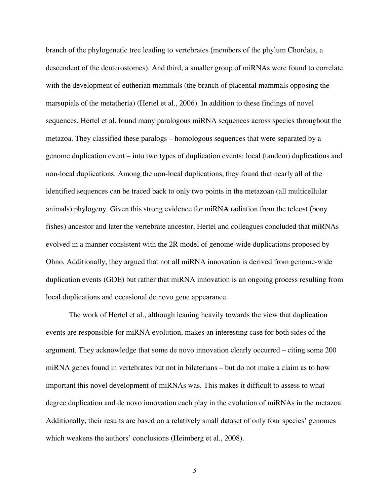branch of the phylogenetic tree leading to vertebrates (members of the phylum Chordata, a descendent of the deuterostomes). And third, a smaller group of miRNAs were found to correlate with the development of eutherian mammals (the branch of placental mammals opposing the marsupials of the metatheria) (Hertel et al., 2006). In addition to these findings of novel sequences, Hertel et al. found many paralogous miRNA sequences across species throughout the metazoa. They classified these paralogs – homologous sequences that were separated by a genome duplication event – into two types of duplication events: local (tandem) duplications and non-local duplications. Among the non-local duplications, they found that nearly all of the identified sequences can be traced back to only two points in the metazoan (all multicellular animals) phylogeny. Given this strong evidence for miRNA radiation from the teleost (bony fishes) ancestor and later the vertebrate ancestor, Hertel and colleagues concluded that miRNAs evolved in a manner consistent with the 2R model of genome-wide duplications proposed by Ohno. Additionally, they argued that not all miRNA innovation is derived from genome-wide duplication events (GDE) but rather that miRNA innovation is an ongoing process resulting from local duplications and occasional de novo gene appearance.

The work of Hertel et al., although leaning heavily towards the view that duplication events are responsible for miRNA evolution, makes an interesting case for both sides of the argument. They acknowledge that some de novo innovation clearly occurred – citing some 200 miRNA genes found in vertebrates but not in bilaterians – but do not make a claim as to how important this novel development of miRNAs was. This makes it difficult to assess to what degree duplication and de novo innovation each play in the evolution of miRNAs in the metazoa. Additionally, their results are based on a relatively small dataset of only four species' genomes which weakens the authors' conclusions (Heimberg et al., 2008).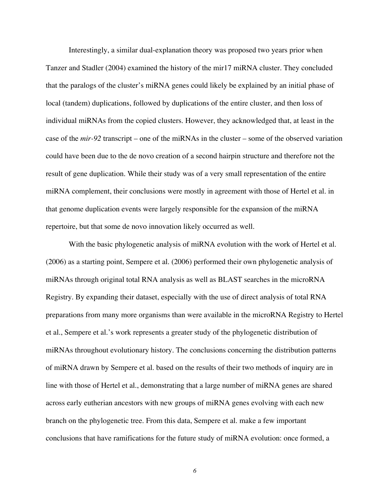Interestingly, a similar dual-explanation theory was proposed two years prior when Tanzer and Stadler (2004) examined the history of the mir17 miRNA cluster. They concluded that the paralogs of the cluster's miRNA genes could likely be explained by an initial phase of local (tandem) duplications, followed by duplications of the entire cluster, and then loss of individual miRNAs from the copied clusters. However, they acknowledged that, at least in the case of the *mir-92* transcript – one of the miRNAs in the cluster – some of the observed variation could have been due to the de novo creation of a second hairpin structure and therefore not the result of gene duplication. While their study was of a very small representation of the entire miRNA complement, their conclusions were mostly in agreement with those of Hertel et al. in that genome duplication events were largely responsible for the expansion of the miRNA repertoire, but that some de novo innovation likely occurred as well.

With the basic phylogenetic analysis of miRNA evolution with the work of Hertel et al. (2006) as a starting point, Sempere et al. (2006) performed their own phylogenetic analysis of miRNAs through original total RNA analysis as well as BLAST searches in the microRNA Registry. By expanding their dataset, especially with the use of direct analysis of total RNA preparations from many more organisms than were available in the microRNA Registry to Hertel et al., Sempere et al.'s work represents a greater study of the phylogenetic distribution of miRNAs throughout evolutionary history. The conclusions concerning the distribution patterns of miRNA drawn by Sempere et al. based on the results of their two methods of inquiry are in line with those of Hertel et al., demonstrating that a large number of miRNA genes are shared across early eutherian ancestors with new groups of miRNA genes evolving with each new branch on the phylogenetic tree. From this data, Sempere et al. make a few important conclusions that have ramifications for the future study of miRNA evolution: once formed, a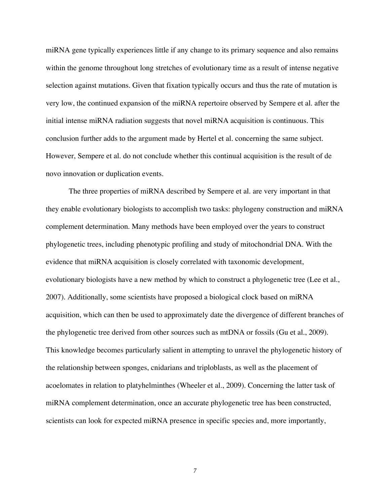miRNA gene typically experiences little if any change to its primary sequence and also remains within the genome throughout long stretches of evolutionary time as a result of intense negative selection against mutations. Given that fixation typically occurs and thus the rate of mutation is very low, the continued expansion of the miRNA repertoire observed by Sempere et al. after the initial intense miRNA radiation suggests that novel miRNA acquisition is continuous. This conclusion further adds to the argument made by Hertel et al. concerning the same subject. However, Sempere et al. do not conclude whether this continual acquisition is the result of de novo innovation or duplication events.

The three properties of miRNA described by Sempere et al. are very important in that they enable evolutionary biologists to accomplish two tasks: phylogeny construction and miRNA complement determination. Many methods have been employed over the years to construct phylogenetic trees, including phenotypic profiling and study of mitochondrial DNA. With the evidence that miRNA acquisition is closely correlated with taxonomic development, evolutionary biologists have a new method by which to construct a phylogenetic tree (Lee et al., 2007). Additionally, some scientists have proposed a biological clock based on miRNA acquisition, which can then be used to approximately date the divergence of different branches of the phylogenetic tree derived from other sources such as mtDNA or fossils (Gu et al., 2009). This knowledge becomes particularly salient in attempting to unravel the phylogenetic history of the relationship between sponges, cnidarians and triploblasts, as well as the placement of acoelomates in relation to platyhelminthes (Wheeler et al., 2009). Concerning the latter task of miRNA complement determination, once an accurate phylogenetic tree has been constructed, scientists can look for expected miRNA presence in specific species and, more importantly,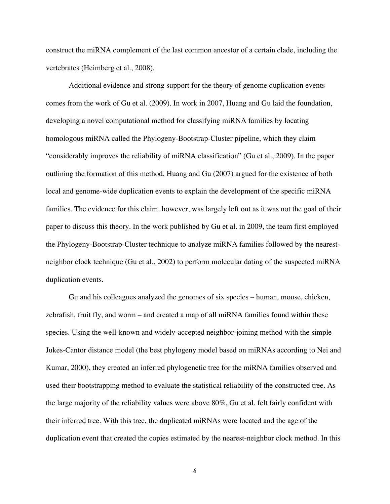construct the miRNA complement of the last common ancestor of a certain clade, including the vertebrates (Heimberg et al., 2008).

Additional evidence and strong support for the theory of genome duplication events comes from the work of Gu et al. (2009). In work in 2007, Huang and Gu laid the foundation, developing a novel computational method for classifying miRNA families by locating homologous miRNA called the Phylogeny-Bootstrap-Cluster pipeline, which they claim "considerably improves the reliability of miRNA classification" (Gu et al., 2009). In the paper outlining the formation of this method, Huang and Gu (2007) argued for the existence of both local and genome-wide duplication events to explain the development of the specific miRNA families. The evidence for this claim, however, was largely left out as it was not the goal of their paper to discuss this theory. In the work published by Gu et al. in 2009, the team first employed the Phylogeny-Bootstrap-Cluster technique to analyze miRNA families followed by the nearestneighbor clock technique (Gu et al., 2002) to perform molecular dating of the suspected miRNA duplication events.

Gu and his colleagues analyzed the genomes of six species – human, mouse, chicken, zebrafish, fruit fly, and worm – and created a map of all miRNA families found within these species. Using the well-known and widely-accepted neighbor-joining method with the simple Jukes-Cantor distance model (the best phylogeny model based on miRNAs according to Nei and Kumar, 2000), they created an inferred phylogenetic tree for the miRNA families observed and used their bootstrapping method to evaluate the statistical reliability of the constructed tree. As the large majority of the reliability values were above 80%, Gu et al. felt fairly confident with their inferred tree. With this tree, the duplicated miRNAs were located and the age of the duplication event that created the copies estimated by the nearest-neighbor clock method. In this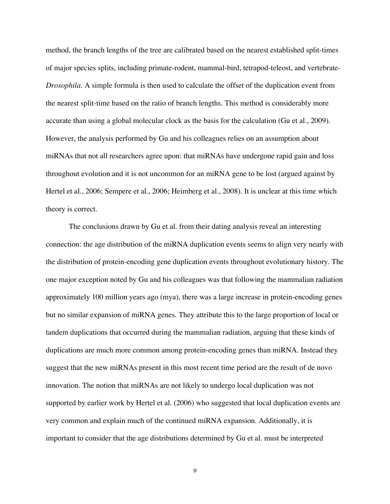method, the branch lengths of the tree are calibrated based on the nearest established split-times of major species splits, including primate-rodent, mammal-bird, tetrapod-teleost, and vertebrate-*Drosophila*. A simple formula is then used to calculate the offset of the duplication event from the nearest split-time based on the ratio of branch lengths. This method is considerably more accurate than using a global molecular clock as the basis for the calculation (Gu et al., 2009). However, the analysis performed by Gu and his colleagues relies on an assumption about miRNAs that not all researchers agree upon: that miRNAs have undergone rapid gain and loss throughout evolution and it is not uncommon for an miRNA gene to be lost (argued against by Hertel et al., 2006; Sempere et al., 2006; Heimberg et al., 2008). It is unclear at this time which theory is correct.

The conclusions drawn by Gu et al. from their dating analysis reveal an interesting connection: the age distribution of the miRNA duplication events seems to align very nearly with the distribution of protein-encoding gene duplication events throughout evolutionary history. The one major exception noted by Gu and his colleagues was that following the mammalian radiation approximately 100 million years ago (mya), there was a large increase in protein-encoding genes but no similar expansion of miRNA genes. They attribute this to the large proportion of local or tandem duplications that occurred during the mammalian radiation, arguing that these kinds of duplications are much more common among protein-encoding genes than miRNA. Instead they suggest that the new miRNAs present in this most recent time period are the result of de novo innovation. The notion that miRNAs are not likely to undergo local duplication was not supported by earlier work by Hertel et al. (2006) who suggested that local duplication events are very common and explain much of the continued miRNA expansion. Additionally, it is important to consider that the age distributions determined by Gu et al. must be interpreted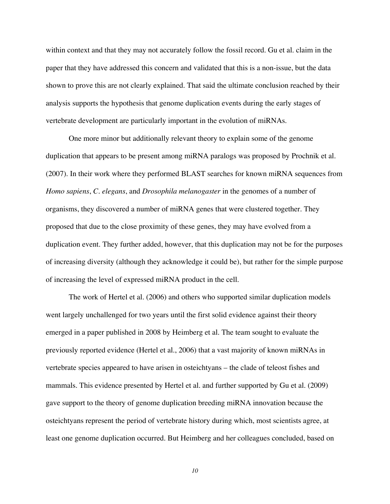within context and that they may not accurately follow the fossil record. Gu et al. claim in the paper that they have addressed this concern and validated that this is a non-issue, but the data shown to prove this are not clearly explained. That said the ultimate conclusion reached by their analysis supports the hypothesis that genome duplication events during the early stages of vertebrate development are particularly important in the evolution of miRNAs.

One more minor but additionally relevant theory to explain some of the genome duplication that appears to be present among miRNA paralogs was proposed by Prochnik et al. (2007). In their work where they performed BLAST searches for known miRNA sequences from *Homo sapiens*, *C. elegans*, and *Drosophila melanogaster* in the genomes of a number of organisms, they discovered a number of miRNA genes that were clustered together. They proposed that due to the close proximity of these genes, they may have evolved from a duplication event. They further added, however, that this duplication may not be for the purposes of increasing diversity (although they acknowledge it could be), but rather for the simple purpose of increasing the level of expressed miRNA product in the cell.

The work of Hertel et al. (2006) and others who supported similar duplication models went largely unchallenged for two years until the first solid evidence against their theory emerged in a paper published in 2008 by Heimberg et al. The team sought to evaluate the previously reported evidence (Hertel et al., 2006) that a vast majority of known miRNAs in vertebrate species appeared to have arisen in osteichtyans – the clade of teleost fishes and mammals. This evidence presented by Hertel et al. and further supported by Gu et al. (2009) gave support to the theory of genome duplication breeding miRNA innovation because the osteichtyans represent the period of vertebrate history during which, most scientists agree, at least one genome duplication occurred. But Heimberg and her colleagues concluded, based on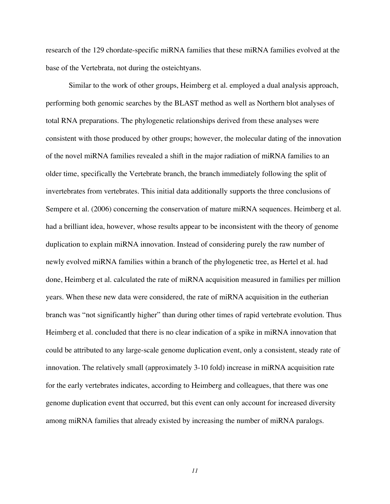research of the 129 chordate-specific miRNA families that these miRNA families evolved at the base of the Vertebrata, not during the osteichtyans.

Similar to the work of other groups, Heimberg et al. employed a dual analysis approach, performing both genomic searches by the BLAST method as well as Northern blot analyses of total RNA preparations. The phylogenetic relationships derived from these analyses were consistent with those produced by other groups; however, the molecular dating of the innovation of the novel miRNA families revealed a shift in the major radiation of miRNA families to an older time, specifically the Vertebrate branch, the branch immediately following the split of invertebrates from vertebrates. This initial data additionally supports the three conclusions of Sempere et al. (2006) concerning the conservation of mature miRNA sequences. Heimberg et al. had a brilliant idea, however, whose results appear to be inconsistent with the theory of genome duplication to explain miRNA innovation. Instead of considering purely the raw number of newly evolved miRNA families within a branch of the phylogenetic tree, as Hertel et al. had done, Heimberg et al. calculated the rate of miRNA acquisition measured in families per million years. When these new data were considered, the rate of miRNA acquisition in the eutherian branch was "not significantly higher" than during other times of rapid vertebrate evolution. Thus Heimberg et al. concluded that there is no clear indication of a spike in miRNA innovation that could be attributed to any large-scale genome duplication event, only a consistent, steady rate of innovation. The relatively small (approximately 3-10 fold) increase in miRNA acquisition rate for the early vertebrates indicates, according to Heimberg and colleagues, that there was one genome duplication event that occurred, but this event can only account for increased diversity among miRNA families that already existed by increasing the number of miRNA paralogs.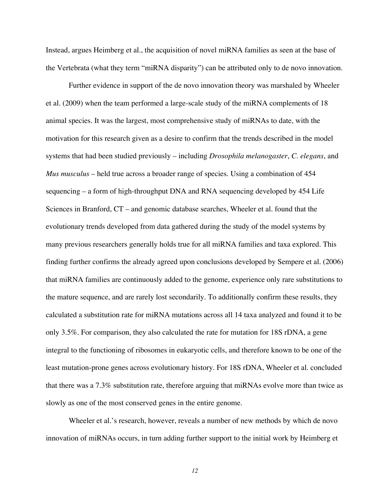Instead, argues Heimberg et al., the acquisition of novel miRNA families as seen at the base of the Vertebrata (what they term "miRNA disparity") can be attributed only to de novo innovation.

Further evidence in support of the de novo innovation theory was marshaled by Wheeler et al. (2009) when the team performed a large-scale study of the miRNA complements of 18 animal species. It was the largest, most comprehensive study of miRNAs to date, with the motivation for this research given as a desire to confirm that the trends described in the model systems that had been studied previously – including *Drosophila melanogaster*, *C. elegans*, and *Mus musculus* – held true across a broader range of species. Using a combination of 454 sequencing – a form of high-throughput DNA and RNA sequencing developed by 454 Life Sciences in Branford, CT – and genomic database searches, Wheeler et al. found that the evolutionary trends developed from data gathered during the study of the model systems by many previous researchers generally holds true for all miRNA families and taxa explored. This finding further confirms the already agreed upon conclusions developed by Sempere et al. (2006) that miRNA families are continuously added to the genome, experience only rare substitutions to the mature sequence, and are rarely lost secondarily. To additionally confirm these results, they calculated a substitution rate for miRNA mutations across all 14 taxa analyzed and found it to be only 3.5%. For comparison, they also calculated the rate for mutation for 18S rDNA, a gene integral to the functioning of ribosomes in eukaryotic cells, and therefore known to be one of the least mutation-prone genes across evolutionary history. For 18S rDNA, Wheeler et al. concluded that there was a 7.3% substitution rate, therefore arguing that miRNAs evolve more than twice as slowly as one of the most conserved genes in the entire genome.

Wheeler et al.'s research, however, reveals a number of new methods by which de novo innovation of miRNAs occurs, in turn adding further support to the initial work by Heimberg et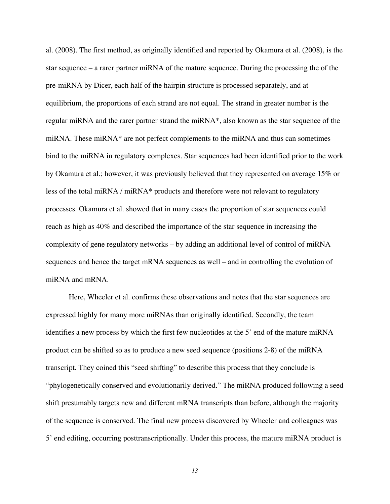al. (2008). The first method, as originally identified and reported by Okamura et al. (2008), is the star sequence – a rarer partner miRNA of the mature sequence. During the processing the of the pre-miRNA by Dicer, each half of the hairpin structure is processed separately, and at equilibrium, the proportions of each strand are not equal. The strand in greater number is the regular miRNA and the rarer partner strand the miRNA\*, also known as the star sequence of the miRNA. These miRNA\* are not perfect complements to the miRNA and thus can sometimes bind to the miRNA in regulatory complexes. Star sequences had been identified prior to the work by Okamura et al.; however, it was previously believed that they represented on average 15% or less of the total miRNA / miRNA\* products and therefore were not relevant to regulatory processes. Okamura et al. showed that in many cases the proportion of star sequences could reach as high as 40% and described the importance of the star sequence in increasing the complexity of gene regulatory networks – by adding an additional level of control of miRNA sequences and hence the target mRNA sequences as well – and in controlling the evolution of miRNA and mRNA.

Here, Wheeler et al. confirms these observations and notes that the star sequences are expressed highly for many more miRNAs than originally identified. Secondly, the team identifies a new process by which the first few nucleotides at the 5' end of the mature miRNA product can be shifted so as to produce a new seed sequence (positions 2-8) of the miRNA transcript. They coined this "seed shifting" to describe this process that they conclude is "phylogenetically conserved and evolutionarily derived." The miRNA produced following a seed shift presumably targets new and different mRNA transcripts than before, although the majority of the sequence is conserved. The final new process discovered by Wheeler and colleagues was 5' end editing, occurring posttranscriptionally. Under this process, the mature miRNA product is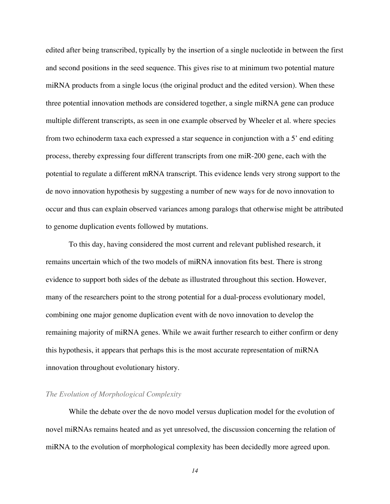edited after being transcribed, typically by the insertion of a single nucleotide in between the first and second positions in the seed sequence. This gives rise to at minimum two potential mature miRNA products from a single locus (the original product and the edited version). When these three potential innovation methods are considered together, a single miRNA gene can produce multiple different transcripts, as seen in one example observed by Wheeler et al. where species from two echinoderm taxa each expressed a star sequence in conjunction with a 5' end editing process, thereby expressing four different transcripts from one miR-200 gene, each with the potential to regulate a different mRNA transcript. This evidence lends very strong support to the de novo innovation hypothesis by suggesting a number of new ways for de novo innovation to occur and thus can explain observed variances among paralogs that otherwise might be attributed to genome duplication events followed by mutations.

To this day, having considered the most current and relevant published research, it remains uncertain which of the two models of miRNA innovation fits best. There is strong evidence to support both sides of the debate as illustrated throughout this section. However, many of the researchers point to the strong potential for a dual-process evolutionary model, combining one major genome duplication event with de novo innovation to develop the remaining majority of miRNA genes. While we await further research to either confirm or deny this hypothesis, it appears that perhaps this is the most accurate representation of miRNA innovation throughout evolutionary history.

## *The Evolution of Morphological Complexity*

While the debate over the de novo model versus duplication model for the evolution of novel miRNAs remains heated and as yet unresolved, the discussion concerning the relation of miRNA to the evolution of morphological complexity has been decidedly more agreed upon.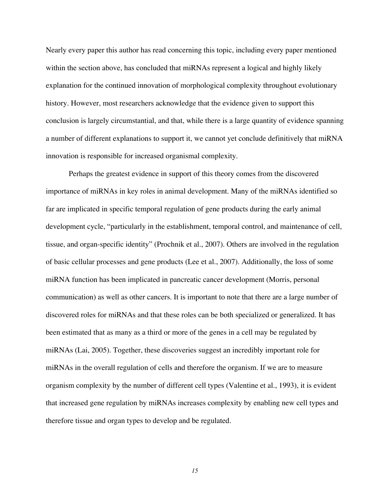Nearly every paper this author has read concerning this topic, including every paper mentioned within the section above, has concluded that miRNAs represent a logical and highly likely explanation for the continued innovation of morphological complexity throughout evolutionary history. However, most researchers acknowledge that the evidence given to support this conclusion is largely circumstantial, and that, while there is a large quantity of evidence spanning a number of different explanations to support it, we cannot yet conclude definitively that miRNA innovation is responsible for increased organismal complexity.

Perhaps the greatest evidence in support of this theory comes from the discovered importance of miRNAs in key roles in animal development. Many of the miRNAs identified so far are implicated in specific temporal regulation of gene products during the early animal development cycle, "particularly in the establishment, temporal control, and maintenance of cell, tissue, and organ-specific identity" (Prochnik et al., 2007). Others are involved in the regulation of basic cellular processes and gene products (Lee et al., 2007). Additionally, the loss of some miRNA function has been implicated in pancreatic cancer development (Morris, personal communication) as well as other cancers. It is important to note that there are a large number of discovered roles for miRNAs and that these roles can be both specialized or generalized. It has been estimated that as many as a third or more of the genes in a cell may be regulated by miRNAs (Lai, 2005). Together, these discoveries suggest an incredibly important role for miRNAs in the overall regulation of cells and therefore the organism. If we are to measure organism complexity by the number of different cell types (Valentine et al., 1993), it is evident that increased gene regulation by miRNAs increases complexity by enabling new cell types and therefore tissue and organ types to develop and be regulated.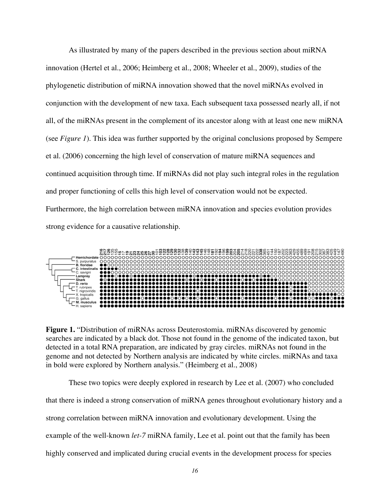As illustrated by many of the papers described in the previous section about miRNA innovation (Hertel et al., 2006; Heimberg et al., 2008; Wheeler et al., 2009), studies of the phylogenetic distribution of miRNA innovation showed that the novel miRNAs evolved in conjunction with the development of new taxa. Each subsequent taxa possessed nearly all, if not all, of the miRNAs present in the complement of its ancestor along with at least one new miRNA (see *Figure 1*). This idea was further supported by the original conclusions proposed by Sempere et al. (2006) concerning the high level of conservation of mature miRNA sequences and continued acquisition through time. If miRNAs did not play such integral roles in the regulation and proper functioning of cells this high level of conservation would not be expected. Furthermore, the high correlation between miRNA innovation and species evolution provides strong evidence for a causative relationship.



**Figure 1.** "Distribution of miRNAs across Deuterostomia. miRNAs discovered by genomic searches are indicated by a black dot. Those not found in the genome of the indicated taxon, but detected in a total RNA preparation, are indicated by gray circles. miRNAs not found in the genome and not detected by Northern analysis are indicated by white circles. miRNAs and taxa in bold were explored by Northern analysis." (Heimberg et al., 2008)

These two topics were deeply explored in research by Lee et al. (2007) who concluded that there is indeed a strong conservation of miRNA genes throughout evolutionary history and a strong correlation between miRNA innovation and evolutionary development. Using the example of the well-known *let-7* miRNA family, Lee et al. point out that the family has been highly conserved and implicated during crucial events in the development process for species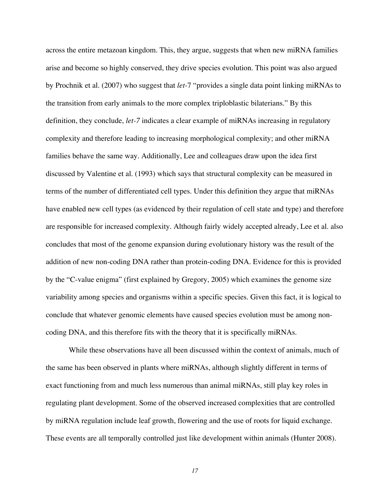across the entire metazoan kingdom. This, they argue, suggests that when new miRNA families arise and become so highly conserved, they drive species evolution. This point was also argued by Prochnik et al. (2007) who suggest that *let-*7 "provides a single data point linking miRNAs to the transition from early animals to the more complex triploblastic bilaterians." By this definition, they conclude, *let-7* indicates a clear example of miRNAs increasing in regulatory complexity and therefore leading to increasing morphological complexity; and other miRNA families behave the same way. Additionally, Lee and colleagues draw upon the idea first discussed by Valentine et al. (1993) which says that structural complexity can be measured in terms of the number of differentiated cell types. Under this definition they argue that miRNAs have enabled new cell types (as evidenced by their regulation of cell state and type) and therefore are responsible for increased complexity. Although fairly widely accepted already, Lee et al. also concludes that most of the genome expansion during evolutionary history was the result of the addition of new non-coding DNA rather than protein-coding DNA. Evidence for this is provided by the "C-value enigma" (first explained by Gregory, 2005) which examines the genome size variability among species and organisms within a specific species. Given this fact, it is logical to conclude that whatever genomic elements have caused species evolution must be among noncoding DNA, and this therefore fits with the theory that it is specifically miRNAs.

While these observations have all been discussed within the context of animals, much of the same has been observed in plants where miRNAs, although slightly different in terms of exact functioning from and much less numerous than animal miRNAs, still play key roles in regulating plant development. Some of the observed increased complexities that are controlled by miRNA regulation include leaf growth, flowering and the use of roots for liquid exchange. These events are all temporally controlled just like development within animals (Hunter 2008).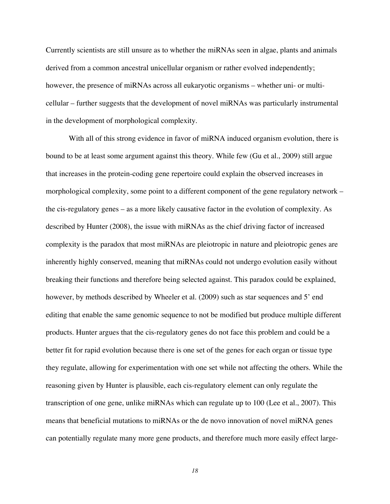Currently scientists are still unsure as to whether the miRNAs seen in algae, plants and animals derived from a common ancestral unicellular organism or rather evolved independently; however, the presence of miRNAs across all eukaryotic organisms – whether uni- or multicellular – further suggests that the development of novel miRNAs was particularly instrumental in the development of morphological complexity.

With all of this strong evidence in favor of miRNA induced organism evolution, there is bound to be at least some argument against this theory. While few (Gu et al., 2009) still argue that increases in the protein-coding gene repertoire could explain the observed increases in morphological complexity, some point to a different component of the gene regulatory network – the cis-regulatory genes – as a more likely causative factor in the evolution of complexity. As described by Hunter (2008), the issue with miRNAs as the chief driving factor of increased complexity is the paradox that most miRNAs are pleiotropic in nature and pleiotropic genes are inherently highly conserved, meaning that miRNAs could not undergo evolution easily without breaking their functions and therefore being selected against. This paradox could be explained, however, by methods described by Wheeler et al. (2009) such as star sequences and 5' end editing that enable the same genomic sequence to not be modified but produce multiple different products. Hunter argues that the cis-regulatory genes do not face this problem and could be a better fit for rapid evolution because there is one set of the genes for each organ or tissue type they regulate, allowing for experimentation with one set while not affecting the others. While the reasoning given by Hunter is plausible, each cis-regulatory element can only regulate the transcription of one gene, unlike miRNAs which can regulate up to 100 (Lee et al., 2007). This means that beneficial mutations to miRNAs or the de novo innovation of novel miRNA genes can potentially regulate many more gene products, and therefore much more easily effect large-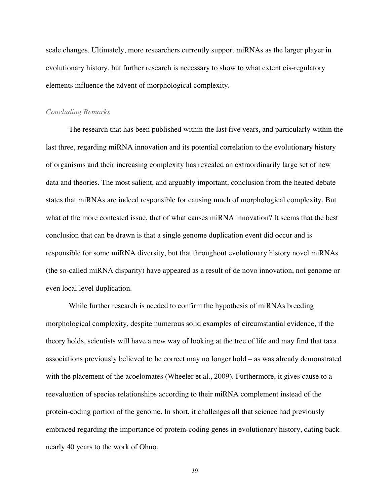scale changes. Ultimately, more researchers currently support miRNAs as the larger player in evolutionary history, but further research is necessary to show to what extent cis-regulatory elements influence the advent of morphological complexity.

#### *Concluding Remarks*

The research that has been published within the last five years, and particularly within the last three, regarding miRNA innovation and its potential correlation to the evolutionary history of organisms and their increasing complexity has revealed an extraordinarily large set of new data and theories. The most salient, and arguably important, conclusion from the heated debate states that miRNAs are indeed responsible for causing much of morphological complexity. But what of the more contested issue, that of what causes miRNA innovation? It seems that the best conclusion that can be drawn is that a single genome duplication event did occur and is responsible for some miRNA diversity, but that throughout evolutionary history novel miRNAs (the so-called miRNA disparity) have appeared as a result of de novo innovation, not genome or even local level duplication.

While further research is needed to confirm the hypothesis of miRNAs breeding morphological complexity, despite numerous solid examples of circumstantial evidence, if the theory holds, scientists will have a new way of looking at the tree of life and may find that taxa associations previously believed to be correct may no longer hold – as was already demonstrated with the placement of the acoelomates (Wheeler et al., 2009). Furthermore, it gives cause to a reevaluation of species relationships according to their miRNA complement instead of the protein-coding portion of the genome. In short, it challenges all that science had previously embraced regarding the importance of protein-coding genes in evolutionary history, dating back nearly 40 years to the work of Ohno.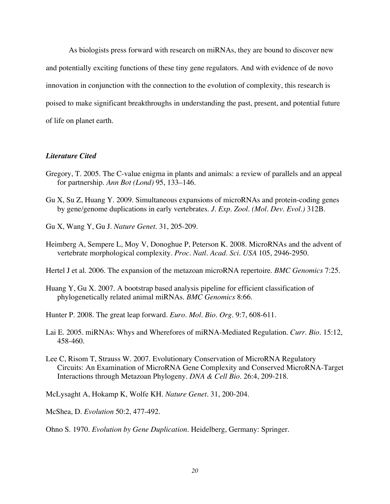As biologists press forward with research on miRNAs, they are bound to discover new and potentially exciting functions of these tiny gene regulators. And with evidence of de novo innovation in conjunction with the connection to the evolution of complexity, this research is poised to make significant breakthroughs in understanding the past, present, and potential future of life on planet earth.

#### *Literature Cited*

- Gregory, T. 2005. The C-value enigma in plants and animals: a review of parallels and an appeal for partnership. *Ann Bot (Lond)* 95, 133–146.
- Gu X, Su Z, Huang Y. 2009. Simultaneous expansions of microRNAs and protein-coding genes by gene/genome duplications in early vertebrates. *J. Exp. Zool. (Mol. Dev. Evol.)* 312B.
- Gu X, Wang Y, Gu J. *Nature Genet*. 31, 205-209.
- Heimberg A, Sempere L, Moy V, Donoghue P, Peterson K. 2008. MicroRNAs and the advent of vertebrate morphological complexity. *Proc. Natl. Acad. Sci. USA* 105, 2946-2950*.*

Hertel J et al. 2006. The expansion of the metazoan microRNA repertoire. *BMC Genomics* 7:25.

Huang Y, Gu X. 2007. A bootstrap based analysis pipeline for efficient classification of phylogenetically related animal miRNAs. *BMC Genomics* 8:66.

Hunter P. 2008. The great leap forward. *Euro. Mol. Bio. Org.* 9:7, 608-611.

- Lai E. 2005. miRNAs: Whys and Wherefores of miRNA-Mediated Regulation. *Curr. Bio.* 15:12, 458-460.
- Lee C, Risom T, Strauss W. 2007. Evolutionary Conservation of MicroRNA Regulatory Circuits: An Examination of MicroRNA Gene Complexity and Conserved MicroRNA-Target Interactions through Metazoan Phylogeny. *DNA & Cell Bio.* 26:4, 209-218.

McLysaght A, Hokamp K, Wolfe KH. *Nature Genet*. 31, 200-204.

McShea, D. *Evolution* 50:2, 477-492.

Ohno S. 1970. *Evolution by Gene Duplication*. Heidelberg, Germany: Springer.